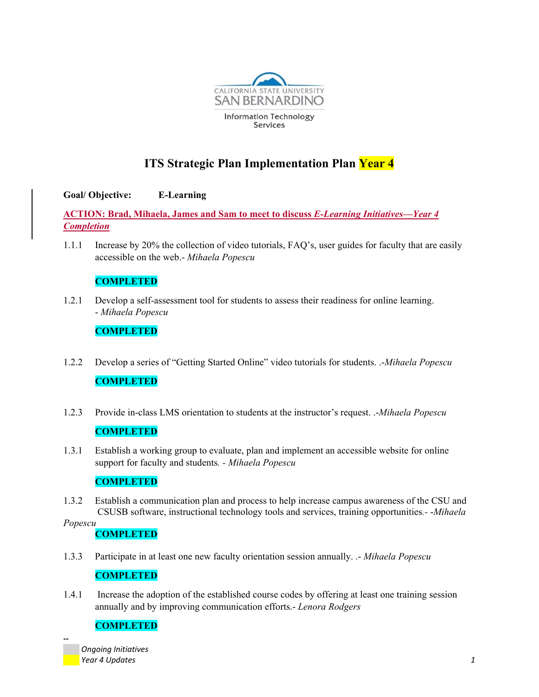

# **ITS Strategic Plan Implementation Plan Year 4**

## **Goal/ Objective: E-Learning**

**ACTION: Brad, Mihaela, James and Sam to meet to discuss** *E-Learning Initiatives—Year 4 Completion*

1.1.1 Increase by 20% the collection of video tutorials, FAQ's, user guides for faculty that are easily accessible on the web.- *Mihaela Popescu* 

## **COMPLETED**

1.2.1 Develop a self-assessment tool for students to assess their readiness for online learning. - *Mihaela Popescu* 

### **COMPLETED**

- 1.2.2 Develop a series of "Getting Started Online" video tutorials for students. .-*Mihaela Popescu* **COMPLETED**
- 1.2.3 Provide in-class LMS orientation to students at the instructor's request. .-*Mihaela Popescu*

### **COMPLETED**

1.3.1 Establish a working group to evaluate, plan and implement an accessible website for online support for faculty and students*. - Mihaela Popescu* 

## **COMPLETED**

1.3.2 Establish a communication plan and process to help increase campus awareness of the CSU and CSUSB software, instructional technology tools and services, training opportunities*.-* -*Mihaela* 

*Popescu* 

**‐‐** 

#### **COMPLETED**

1.3.3 Participate in at least one new faculty orientation session annually. .- *Mihaela Popescu* 

#### **COMPLETED**

1.4.1 Increase the adoption of the established course codes by offering at least one training session annually and by improving communication efforts.- *Lenora Rodgers* 

#### **COMPLETED**

 *Ongoing Initiatives Year 4 Updates 1*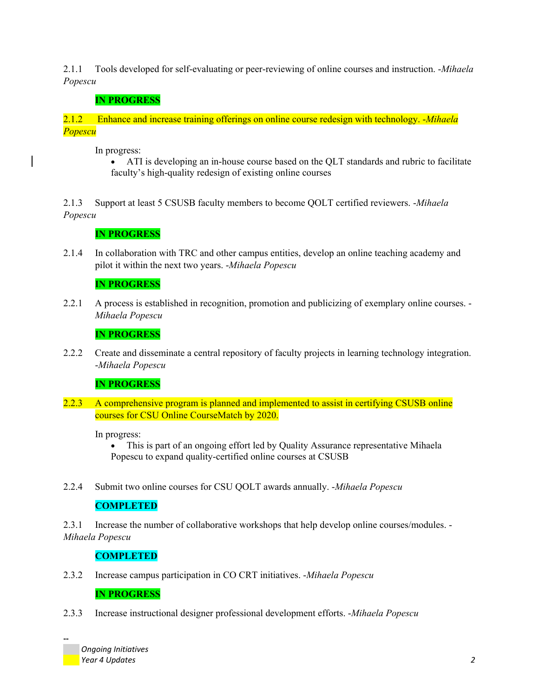2.1.1 Tools developed for self-evaluating or peer-reviewing of online courses and instruction. -*Mihaela Popescu* 

# **IN PROGRESS**

2.1.2 Enhance and increase training offerings on online course redesign with technology. -*Mihaela Popescu* 

In progress:

 ATI is developing an in-house course based on the QLT standards and rubric to facilitate faculty's high-quality redesign of existing online courses

2.1.3 Support at least 5 CSUSB faculty members to become QOLT certified reviewers. -*Mihaela Popescu* 

**IN PROGRESS**

2.1.4 In collaboration with TRC and other campus entities, develop an online teaching academy and pilot it within the next two years. -*Mihaela Popescu* 

## **IN PROGRESS**

2.2.1 A process is established in recognition, promotion and publicizing of exemplary online courses. - *Mihaela Popescu* 

## **IN PROGRESS**

2.2.2 Create and disseminate a central repository of faculty projects in learning technology integration. -*Mihaela Popescu* 

## **IN PROGRESS**

2.2.3 A comprehensive program is planned and implemented to assist in certifying CSUSB online courses for CSU Online CourseMatch by 2020.

In progress:

 This is part of an ongoing effort led by Quality Assurance representative Mihaela Popescu to expand quality-certified online courses at CSUSB

2.2.4 Submit two online courses for CSU QOLT awards annually. -*Mihaela Popescu* 

## **COMPLETED**

2.3.1 Increase the number of collaborative workshops that help develop online courses/modules. - *Mihaela Popescu* 

## **COMPLETED**

2.3.2 Increase campus participation in CO CRT initiatives. -*Mihaela Popescu* 

## **IN PROGRESS**

2.3.3 Increase instructional designer professional development efforts. -*Mihaela Popescu* 

 *Ongoing Initiatives Year 4 Updates 2*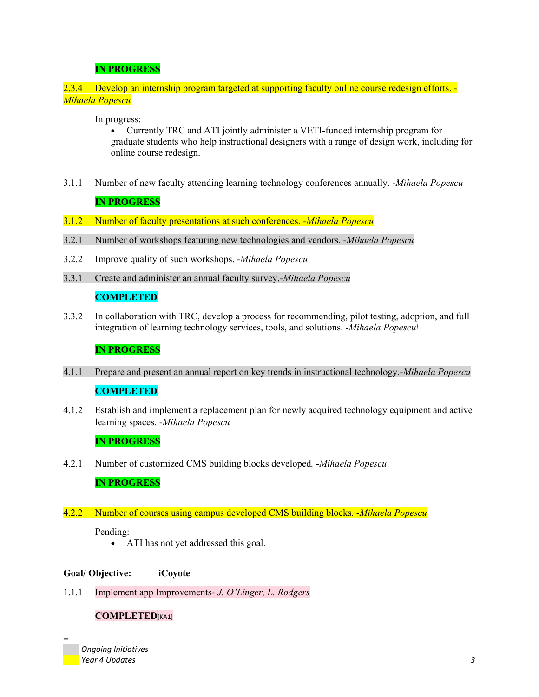## **IN PROGRESS**

#### 2.3.4 Develop an internship program targeted at supporting faculty online course redesign efforts. - *Mihaela Popescu*

In progress:

 Currently TRC and ATI jointly administer a VETI-funded internship program for graduate students who help instructional designers with a range of design work, including for online course redesign.

3.1.1 Number of new faculty attending learning technology conferences annually. -*Mihaela Popescu* 

#### **IN PROGRESS**

- 3.1.2 Number of faculty presentations at such conferences. -*Mihaela Popescu*
- 3.2.1 Number of workshops featuring new technologies and vendors. -*Mihaela Popescu*
- 3.2.2 Improve quality of such workshops. -*Mihaela Popescu*
- 3.3.1 Create and administer an annual faculty survey.-*Mihaela Popescu*

#### **COMPLETED**

3.3.2 In collaboration with TRC, develop a process for recommending, pilot testing, adoption, and full integration of learning technology services, tools, and solutions. -*Mihaela Popescu\* 

#### **IN PROGRESS**

4.1.1 Prepare and present an annual report on key trends in instructional technology.-*Mihaela Popescu* 

# **COMPLETED**

4.1.2 Establish and implement a replacement plan for newly acquired technology equipment and active learning spaces. -*Mihaela Popescu* 

#### **IN PROGRESS**

4.2.1 Number of customized CMS building blocks developed*.* -*Mihaela Popescu* 

#### **IN PROGRESS**

4.2.2 Number of courses using campus developed CMS building blocks*.* -*Mihaela Popescu*

#### Pending:

• ATI has not yet addressed this goal.

#### **Goal/ Objective: iCoyote**

1.1.1 Implement app Improvements*- J. O'Linger, L. Rodgers*

#### **COMPLETED**[KA1]

 *Ongoing Initiatives Year 4 Updates 3*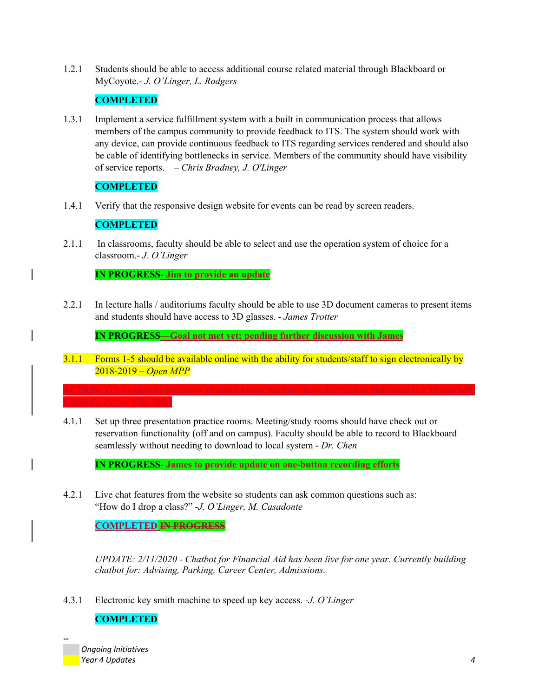1.2.1 Students should be able to access additional course related material through Blackboard or MyCoyote.- *J. O'Linger, L. Rodgers* 

#### **COMPLETED**

1.3.1 Implement a service fulfillment system with a built in communication process that allows members of the campus community to provide feedback to ITS. The system should work with any device, can provide continuous feedback to ITS regarding services rendered and should also be cable of identifying bottlenecks in service. Members of the community should have visibility of service reports. – *Chris Bradney, J. O'Linger* 

## **COMPLETED**

1.4.1 Verify that the responsive design website for events can be read by screen readers.

### **COMPLETED**

2.1.1 In classrooms, faculty should be able to select and use the operation system of choice for a classroom.- *J. O'Linger* 

**IN PROGRESS- Jim to provide an update**

2.2.1 In lecture halls / auditoriums faculty should be able to use 3D document cameras to present items and students should have access to 3D glasses. - *James Trotter* 

**IN PROGRESS—Goal not met yet; pending further discussion with James**

3.1.1 Forms 1-5 should be available online with the ability for students/staff to sign electronically by 2018-2019 – *Open MPP*

ACTION: ITS Leaders to inventory all paper forms that have been digitized in their areas (i.e. PeopleSoft,

4.1.1 Set up three presentation practice rooms. Meeting/study rooms should have check out or reservation functionality (off and on campus). Faculty should be able to record to Blackboard seamlessly without needing to download to local system - *Dr. Chen* 

**IN PROGRESS- James to provide update on one-button recording efforts**

4.2.1 Live chat features from the website so students can ask common questions such as: "How do I drop a class?" -*J. O'Linger, M. Casadonte* 

**COMPLETED IN PROGRESS** 

*UPDATE: 2/11/2020 - Chatbot for Financial Aid has been live for one year. Currently building chatbot for: Advising, Parking, Career Center, Admissions.* 

4.3.1 Electronic key smith machine to speed up key access. -*J. O'Linger* 

## **COMPLETED**

 *Ongoing Initiatives Year 4 Updates 4*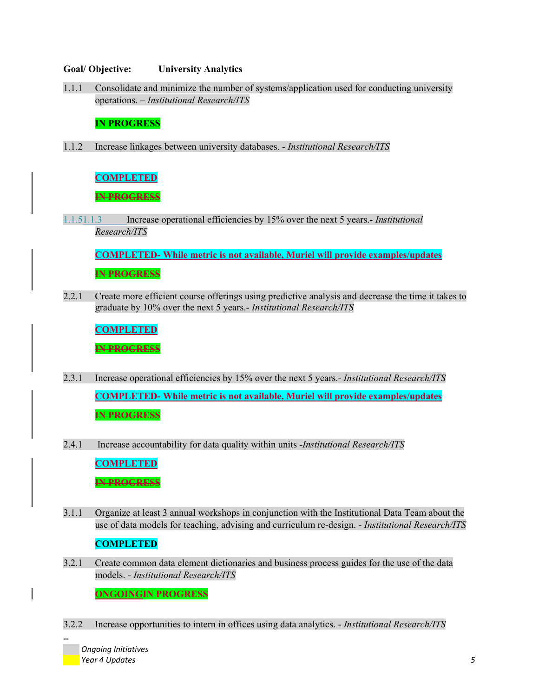#### **Goal/ Objective: University Analytics**

1.1.1 Consolidate and minimize the number of systems/application used for conducting university operations. – *Institutional Research/ITS* 

#### **IN PROGRESS**

1.1.2 Increase linkages between university databases. - *Institutional Research/ITS* 

#### **COMPLETED**

**IN PROGRESS** 

1.1.51.1.3 Increase operational efficiencies by 15% over the next 5 years.- *Institutional Research/ITS* 

**COMPLETED- While metric is not available, Muriel will provide examples/updates IN PROGRESS** 

2.2.1 Create more efficient course offerings using predictive analysis and decrease the time it takes to graduate by 10% over the next 5 years.- *Institutional Research/ITS* 

**COMPLETED**

**IN PROGRESS** 

- 2.3.1 Increase operational efficiencies by 15% over the next 5 years.- *Institutional Research/ITS*  **COMPLETED- While metric is not available, Muriel will provide examples/updates IN PROGRESS**
- 2.4.1 Increase accountability for data quality within units -*Institutional Research/ITS*

**COMPLETED**

**IN PROGRESS** 

3.1.1 Organize at least 3 annual workshops in conjunction with the Institutional Data Team about the use of data models for teaching, advising and curriculum re-design. - *Institutional Research/ITS* 

#### **COMPLETED**

3.2.1 Create common data element dictionaries and business process guides for the use of the data models. - *Institutional Research/ITS* 

**ONGOINGIN PROGRESS**

3.2.2 Increase opportunities to intern in offices using data analytics. - *Institutional Research/ITS* 

 *Ongoing Initiatives Year 4 Updates 5*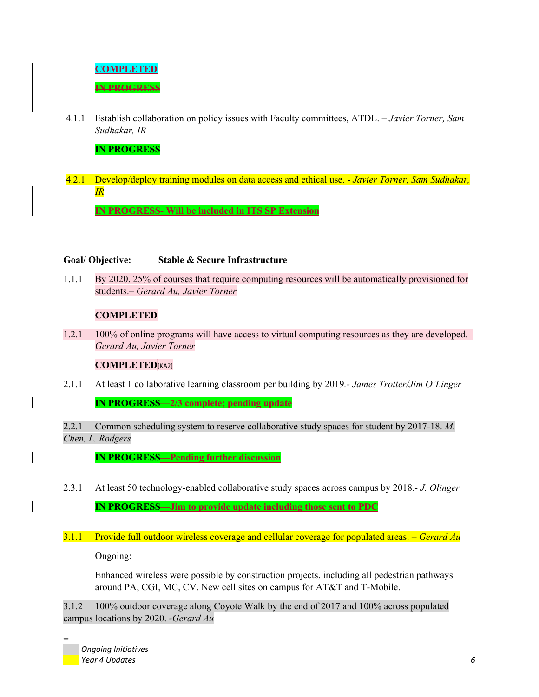

4.1.1 Establish collaboration on policy issues with Faculty committees, ATDL. *– Javier Torner, Sam Sudhakar, IR* 

**IN PROGRESS** 

4.2.1 Develop/deploy training modules on data access and ethical use. - *Javier Torner, Sam Sudhakar, IR*

**IN PROGRESS- Will be included in ITS SP Extension** 

#### **Goal/ Objective: Stable & Secure Infrastructure**

1.1.1 By 2020, 25% of courses that require computing resources will be automatically provisioned for students.– *Gerard Au, Javier Torner* 

### **COMPLETED**

1.2.1 100% of online programs will have access to virtual computing resources as they are developed.– *Gerard Au, Javier Torner* 

#### **COMPLETED**[KA2]

2.1.1 At least 1 collaborative learning classroom per building by 2019*.- James Trotter/Jim O'Linger* 

**IN PROGRESS—2/3 complete; pending update**

2.2.1 Common scheduling system to reserve collaborative study spaces for student by 2017-18. *M. Chen, L. Rodgers* 

**IN PROGRESS—Pending further discussion**

2.3.1 At least 50 technology-enabled collaborative study spaces across campus by 2018*.- J. Olinger*  **IN PROGRESS—Jim to provide update including those sent to PDC**

#### 3.1.1 Provide full outdoor wireless coverage and cellular coverage for populated areas. *– Gerard Au*

Ongoing:

Enhanced wireless were possible by construction projects, including all pedestrian pathways around PA, CGI, MC, CV. New cell sites on campus for AT&T and T-Mobile.

3.1.2 100% outdoor coverage along Coyote Walk by the end of 2017 and 100% across populated campus locations by 2020. *-Gerard Au* 

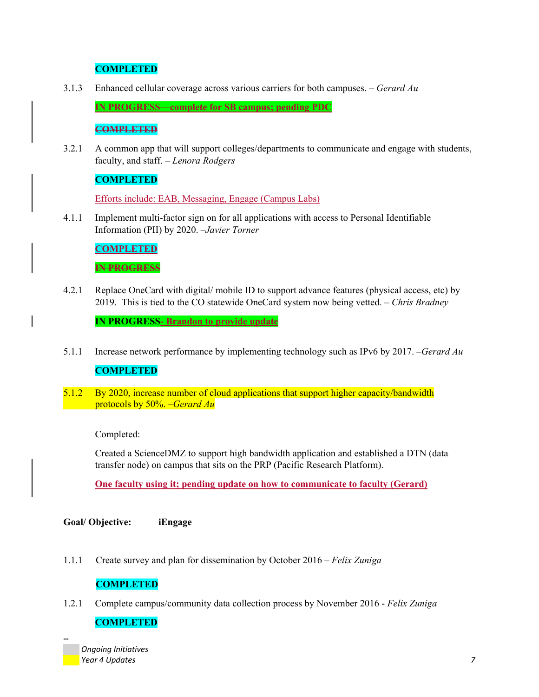## **COMPLETED**

3.1.3 Enhanced cellular coverage across various carriers for both campuses. *– Gerard Au* 

**IN PROGRESS—complete for SB campus; pending PDC** 

#### **COMPLETED**

3.2.1 A common app that will support colleges/departments to communicate and engage with students, faculty, and staff. *– Lenora Rodgers* 

### **COMPLETED**

Efforts include: EAB, Messaging, Engage (Campus Labs)

4.1.1 Implement multi-factor sign on for all applications with access to Personal Identifiable Information (PII) by 2020. *–Javier Torner*

## **COMPLETED**

#### **IN PROGRESS**

4.2.1 Replace OneCard with digital/ mobile ID to support advance features (physical access, etc) by 2019. This is tied to the CO statewide OneCard system now being vetted. *– Chris Bradney* 

**IN PROGRESS- Brandon to provide update**

- 5.1.1 Increase network performance by implementing technology such as IPv6 by 2017. *–Gerard Au* **COMPLETED**
- 5.1.2 By 2020, increase number of cloud applications that support higher capacity/bandwidth protocols by 50%. *–Gerard Au*

#### Completed:

Created a ScienceDMZ to support high bandwidth application and established a DTN (data transfer node) on campus that sits on the PRP (Pacific Research Platform).

**One faculty using it; pending update on how to communicate to faculty (Gerard)**

**Goal/ Objective: iEngage** 

1.1.1 Create survey and plan for dissemination by October 2016 – *Felix Zuniga* 

#### **COMPLETED**

1.2.1 Complete campus/community data collection process by November 2016 - *Felix Zuniga* 

#### **COMPLETED**

 *Ongoing Initiatives Year 4 Updates 7*